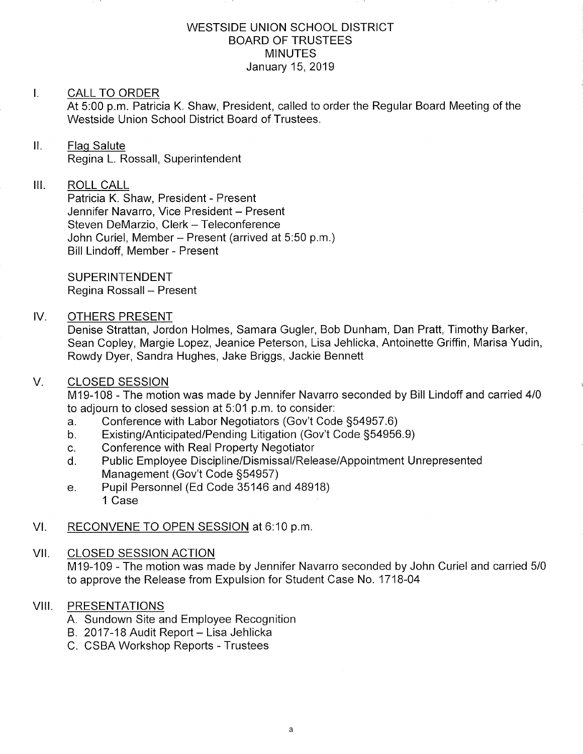### WESTSIDE UNION SCHOOL DISTRICT BOARD OF TRUSTEES MINUTES January 15,2019

# I. CALL TO ORDER

At 5:00 p.m. Patricia K. Shaw, President, called to order the Regular Board Meeting of the Westside Union School District Board of Trustees.

# II. Flag Salute Regina L. Rossall, Superintendent

#### $III.$ ROLL CALL

Patricia K. Shaw, President - Present Jennifer Navarro, Vice President - Present Steven DeMarzio, Clerk - Teleconference John Curiel, Member - Present (arrived at 5:50 p.m.) Bill Lindoff, Member - Present

SUPERINTENDENT Regina Rossall - Present

# IV. OTHERS PRESENT

Denise Strattan, Jordon Holmes, Samara Gugler, Bob Dunham, Dan Pratt, Timothy Barker, Sean Copley, Margie Lopez, Jeanice Peterson, Lisa Jehlicka, Antoinette Griffin, Marisa Yudin, Rowdy Dyer, Sandra Hughes, Jake Briggs, Jackie Bennett

#### V. CLOSED SESSION

M19-108 - The motion was made by Jennifer Navarro seconded by Bill Lindoff and carried <sup>410</sup> to adjourn to closed session at 5:01 p.m. to consider:<br>a. Conference with Labor Negotiators (Gov't Code §54957.6)

- 
- a. Conference with Labor Negotiators (Gov't Code §54957.6)<br>b. Existing/Anticipated/Pending Litigation (Gov't Code §54956.9)<br>c. Conference with Real Property Negotiator
- 
- c. Conference with Real Property Negotiator<br>d. Public Employee Discipline/Dismissal/Release/Appointment Unrepresented Management (Gov't Code S54957) e. Pupil Personnel (Ed Code 35146 and 48918)
- 1 Case
- Vl. RECONVENE TO OPEN SESSION at 6:10 p.m

#### VII. CLOSED SESSION ACTION

M19-109 - The motion was made by Jennifer Navarro seconded by John Curiel and carried 5/0 to approve the Release from Expulsion for Student Case No. 1718-04

#### VIII. PRESENTATIONS

- A. Sundown Site and Employee Recognition
- B. 2017-18 Audit Report Lisa Jehlicka
- C. CSBA Workshop Repofts Trustees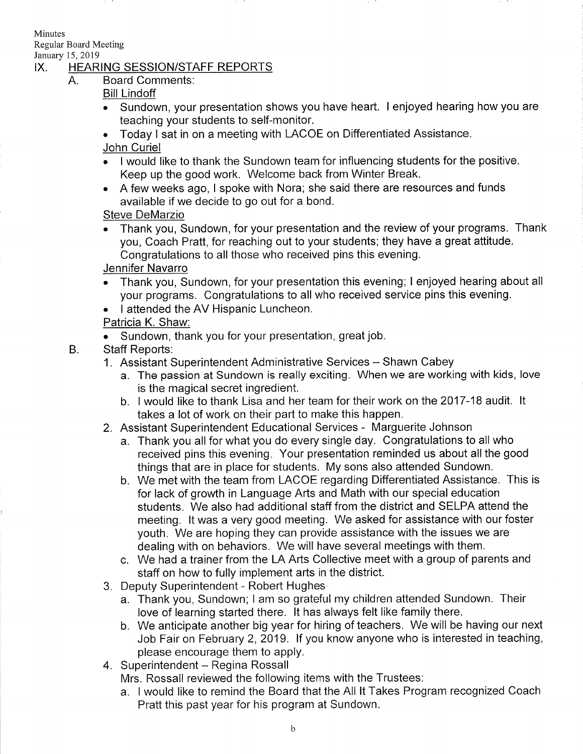Minutes

Regular Board Meeting

# January 15, 2019<br>IX. HEARING SESSION/STAFF REPORTS

Board Comments:  $A_{1}$ 

# Bill Lindoff

- . Sundown, your presentation shows you have heart. I enjoyed hearing how you are teaching your students to self-monitor.
- . Today I sat in on a meeting with LACOE on Differentiated Assistance. John Curiel
- . I would like to thank the Sundown team for influencing students for the positive Keep up the good work. Welcome back from Winter Break.
- A few weeks ago, I spoke with Nora; she said there are resources and funds available if we decide to go out for a bond.

# Steve DeMarzio

. Thank you, Sundown, for your presentation and the review of your programs. Thank you, Coach Pratt, for reaching out to your students; they have a great attitude. Congratulations to all those who received pins this evening.

# Jennifer Navarro

- . Thank you, Sundown, for your presentation this evening; I enjoyed hearing about all your programs. Congratulations to all who received service pins this evening.
- . I attended the AV Hispanic Luncheon.

# Patricia K. Shaw:

- . Sundown, thank you for your presentation, great job.
- Staff Reports:  $B<sub>1</sub>$ 
	- 1. Assistant Superintendent Administrative Services Shawn Cabey
		- a. The passion at Sundown is really exciting. When we are working with kids, love is the magical secret ingredient. b. I would like to thank Lisa and her team for their work on the 2017-18 audit. lt
		- takes a lot of work on their part to make this happen.
	- 2. Assistant Superintendent Educational Services Marguerite Johnson
		- a. Thank you all for what you do every single day. Congratulations to all who received pins this evening. Your presentation reminded us about all the good things that are in place for students. My sons also attended Sundown.
		- b. We met with the team from LACOE regarding Differentiated Assistance. This is for lack of growth in Language Arts and Math with our special education students. We also had additional staff from the district and SELPA attend the meeting. lt was a very good meeting. We asked for assistance with our foster youth. We are hoping they can provide assistance with the issues we are dealing with on behaviors. We will have several meetings with them.
		- c. We had a trainer from the LA Arts Collective meet with a group of parents and staff on how to fully implement arts in the district.
	- 3. Deputy Superintendent Robert Hughes
		- a. Thank you, Sundown; <sup>I</sup>am so grateful my children attended Sundown. Their love of learning started there. lt has always felt like family there.
		- b. We anticipate another big year for hiring of teachers. We will be having our next Job Fair on February 2, 2019. If you know anyone who is interested in teaching, please encourage them to apply.
	- 4. Superintendent Regina Rossall

Mrs. Rossall reviewed the following items with the Trustees:

a. I would like to remind the Board that the All lt Takes Program recognized Coach Pratt this past year for his program at Sundown.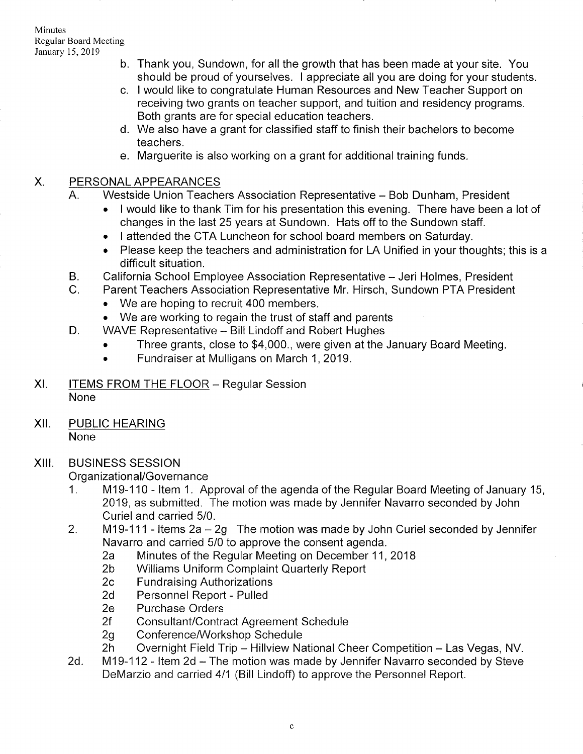- b. Thank you, Sundown, for all the growth that has been made at your site. You should be proud of yourselves. I appreciate all you are doing for your students
- c. I would like to congratulate Human Resources and New Teacher Support on receiving two grants on teacher support, and tuition and residency programs. Both grants are for special education teachers.
- We also have a grant for classified staff to finish their bachelors to become d teachers.
- Marguerite is also working on a grant for additional training funds. e

#### PERSONAL APPEARANCES  $X_{\cdot}$

- A. Westside Union Teachers Association Representative Bob Dunham, President
	- . I would like to thank Tim for his presentation this evening. There have been a lot of changes in the last 25 years at Sundown. Hats off to the Sundown staff.
	- . I attended the CTA Luncheon for school board members on Saturday.
	- Please keep the teachers and administration for LA Unified in your thoughts; this is a difficult situation.
- B. California School Employee Association Representative Jeri Holmes, President<br>C. Parent Teachers Association Representative Mr. Hirsch, Sundown PTA President
- - We are hoping to recruit 400 members.
- We are working to regain the trust of staff and parents D. WAVE Representative Bill Lindoff and Robert Hughes
	- - . Three grants, close to \$4,000., were given at the January Board Meeting.
		- . Fundraiser at Mulligans on March 1,2019.
- XI. ITEMS FROM THE FLOOR Regular Session None
- XII. PUBLIC HEARING None

# XIII. BUSINESS SESSION

- Organizational/Governance<br>1. M19-110 Item 1. Approval of the agenda of the Regular Board Meeting of January 15, 2019, as submitted. The motion was made by Jennifer Navarro seconded by John Curiel and carried 5/0.
- 2. M19-111 Items  $2a 2g$  The motion was made by John Curiel seconded by Jennifer<br>Navarro and carried 5/0 to approve the consent agenda.
	- 2a Minutes of the Regular Meeting on December 11, 2018<br>
	2b Williams Uniform Complaint Quarterly Report<br>
	2c Fundraising Authorizations<br>
	2d Personnel Report Pulled<br>
	2e Purchase Orders
	-
	-
	-
	-
	-
	-
- 2f Consultant/Contract Agreement Schedule<br>2g Conference/Workshop Schedule<br>2h Overnight Field Trip Hillview National Cheer Competition Las Vegas, NV.<br>2d. M19-112 Item 2d The motion was made by Jennifer Navarro secon
- DeMarzio and carried 4/1 (Bill Lindoff) to approve the Personnel Report.